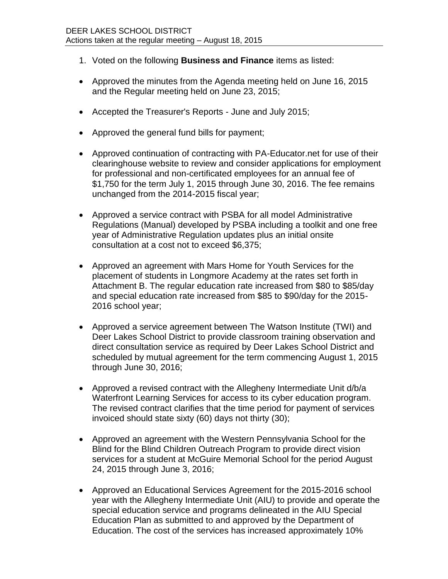- 1. Voted on the following **Business and Finance** items as listed:
- Approved the minutes from the Agenda meeting held on June 16, 2015 and the Regular meeting held on June 23, 2015;
- Accepted the Treasurer's Reports June and July 2015;
- Approved the general fund bills for payment;
- Approved continuation of contracting with PA-Educator.net for use of their clearinghouse website to review and consider applications for employment for professional and non-certificated employees for an annual fee of \$1,750 for the term July 1, 2015 through June 30, 2016. The fee remains unchanged from the 2014-2015 fiscal year;
- Approved a service contract with PSBA for all model Administrative Regulations (Manual) developed by PSBA including a toolkit and one free year of Administrative Regulation updates plus an initial onsite consultation at a cost not to exceed \$6,375;
- Approved an agreement with Mars Home for Youth Services for the placement of students in Longmore Academy at the rates set forth in Attachment B. The regular education rate increased from \$80 to \$85/day and special education rate increased from \$85 to \$90/day for the 2015- 2016 school year;
- Approved a service agreement between The Watson Institute (TWI) and Deer Lakes School District to provide classroom training observation and direct consultation service as required by Deer Lakes School District and scheduled by mutual agreement for the term commencing August 1, 2015 through June 30, 2016;
- Approved a revised contract with the Allegheny Intermediate Unit d/b/a Waterfront Learning Services for access to its cyber education program. The revised contract clarifies that the time period for payment of services invoiced should state sixty (60) days not thirty (30);
- Approved an agreement with the Western Pennsylvania School for the Blind for the Blind Children Outreach Program to provide direct vision services for a student at McGuire Memorial School for the period August 24, 2015 through June 3, 2016;
- Approved an Educational Services Agreement for the 2015-2016 school year with the Allegheny Intermediate Unit (AIU) to provide and operate the special education service and programs delineated in the AIU Special Education Plan as submitted to and approved by the Department of Education. The cost of the services has increased approximately 10%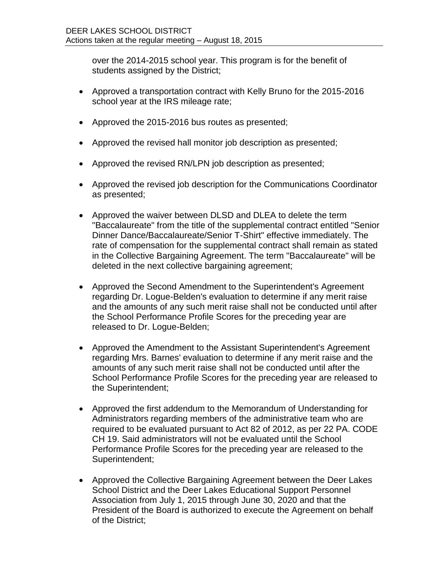over the 2014-2015 school year. This program is for the benefit of students assigned by the District;

- Approved a transportation contract with Kelly Bruno for the 2015-2016 school year at the IRS mileage rate;
- Approved the 2015-2016 bus routes as presented;
- Approved the revised hall monitor job description as presented;
- Approved the revised RN/LPN job description as presented;
- Approved the revised job description for the Communications Coordinator as presented;
- Approved the waiver between DLSD and DLEA to delete the term "Baccalaureate" from the title of the supplemental contract entitled "Senior Dinner Dance/Baccalaureate/Senior T-Shirt" effective immediately. The rate of compensation for the supplemental contract shall remain as stated in the Collective Bargaining Agreement. The term "Baccalaureate" will be deleted in the next collective bargaining agreement;
- Approved the Second Amendment to the Superintendent's Agreement regarding Dr. Logue-Belden's evaluation to determine if any merit raise and the amounts of any such merit raise shall not be conducted until after the School Performance Profile Scores for the preceding year are released to Dr. Logue-Belden;
- Approved the Amendment to the Assistant Superintendent's Agreement regarding Mrs. Barnes' evaluation to determine if any merit raise and the amounts of any such merit raise shall not be conducted until after the School Performance Profile Scores for the preceding year are released to the Superintendent;
- Approved the first addendum to the Memorandum of Understanding for Administrators regarding members of the administrative team who are required to be evaluated pursuant to Act 82 of 2012, as per 22 PA. CODE CH 19. Said administrators will not be evaluated until the School Performance Profile Scores for the preceding year are released to the Superintendent;
- Approved the Collective Bargaining Agreement between the Deer Lakes School District and the Deer Lakes Educational Support Personnel Association from July 1, 2015 through June 30, 2020 and that the President of the Board is authorized to execute the Agreement on behalf of the District;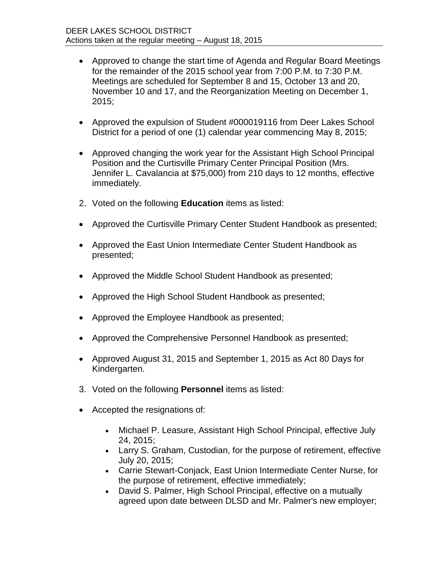- Approved to change the start time of Agenda and Regular Board Meetings for the remainder of the 2015 school year from 7:00 P.M. to 7:30 P.M. Meetings are scheduled for September 8 and 15, October 13 and 20, November 10 and 17, and the Reorganization Meeting on December 1, 2015;
- Approved the expulsion of Student #000019116 from Deer Lakes School District for a period of one (1) calendar year commencing May 8, 2015;
- Approved changing the work year for the Assistant High School Principal Position and the Curtisville Primary Center Principal Position (Mrs. Jennifer L. Cavalancia at \$75,000) from 210 days to 12 months, effective immediately.
- 2. Voted on the following **Education** items as listed:
- Approved the Curtisville Primary Center Student Handbook as presented;
- Approved the East Union Intermediate Center Student Handbook as presented;
- Approved the Middle School Student Handbook as presented;
- Approved the High School Student Handbook as presented;
- Approved the Employee Handbook as presented;
- Approved the Comprehensive Personnel Handbook as presented;
- Approved August 31, 2015 and September 1, 2015 as Act 80 Days for Kindergarten.
- 3. Voted on the following **Personnel** items as listed:
- Accepted the resignations of:
	- Michael P. Leasure, Assistant High School Principal, effective July 24, 2015;
	- Larry S. Graham, Custodian, for the purpose of retirement, effective July 20, 2015;
	- Carrie Stewart-Conjack, East Union Intermediate Center Nurse, for the purpose of retirement, effective immediately;
	- David S. Palmer, High School Principal, effective on a mutually agreed upon date between DLSD and Mr. Palmer's new employer;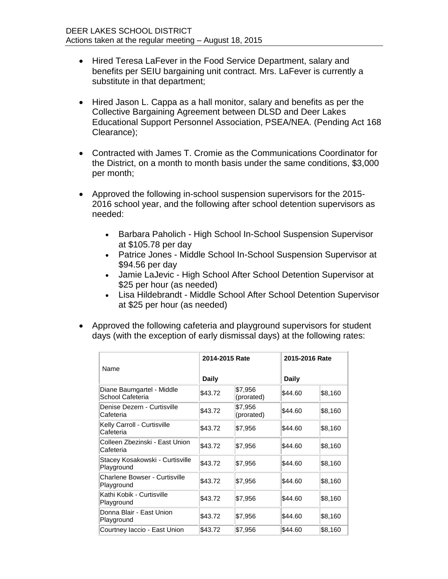- Hired Teresa LaFever in the Food Service Department, salary and benefits per SEIU bargaining unit contract. Mrs. LaFever is currently a substitute in that department;
- Hired Jason L. Cappa as a hall monitor, salary and benefits as per the Collective Bargaining Agreement between DLSD and Deer Lakes Educational Support Personnel Association, PSEA/NEA. (Pending Act 168 Clearance);
- Contracted with James T. Cromie as the Communications Coordinator for the District, on a month to month basis under the same conditions, \$3,000 per month;
- Approved the following in-school suspension supervisors for the 2015- 2016 school year, and the following after school detention supervisors as needed:
	- Barbara Paholich High School In-School Suspension Supervisor at \$105.78 per day
	- Patrice Jones Middle School In-School Suspension Supervisor at \$94.56 per day
	- Jamie LaJevic High School After School Detention Supervisor at \$25 per hour (as needed)
	- Lisa Hildebrandt Middle School After School Detention Supervisor at \$25 per hour (as needed)
- Approved the following cafeteria and playground supervisors for student days (with the exception of early dismissal days) at the following rates:

|                                               | 2014-2015 Rate |                       |         | 2015-2016 Rate |  |
|-----------------------------------------------|----------------|-----------------------|---------|----------------|--|
| Name                                          | <b>Daily</b>   |                       | Daily   |                |  |
| Diane Baumgartel - Middle<br>School Cafeteria | \$43.72        | \$7,956<br>(prorated) | \$44.60 | \$8,160        |  |
| Denise Dezern - Curtisville<br>Cafeteria      | \$43.72        | \$7,956<br>(prorated) | \$44.60 | \$8,160        |  |
| Kelly Carroll - Curtisville<br>Cafeteria      | \$43.72        | \$7,956               | \$44.60 | \$8,160        |  |
| Colleen Zbezinski - East Union<br>Cafeteria   | \$43.72        | \$7,956               | \$44.60 | \$8,160        |  |
| Stacey Kosakowski - Curtisville<br>Playground | \$43.72        | \$7,956               | \$44.60 | \$8,160        |  |
| Charlene Bowser - Curtisville<br>Playground   | \$43.72        | \$7,956               | \$44.60 | \$8,160        |  |
| Kathi Kobik - Curtisville<br>Playground       | \$43.72        | \$7,956               | \$44.60 | \$8,160        |  |
| Donna Blair - East Union<br>Playground        | \$43.72        | \$7,956               | \$44.60 | \$8,160        |  |
| Courtney Iaccio - East Union                  | \$43.72        | \$7,956               | \$44.60 | \$8,160        |  |